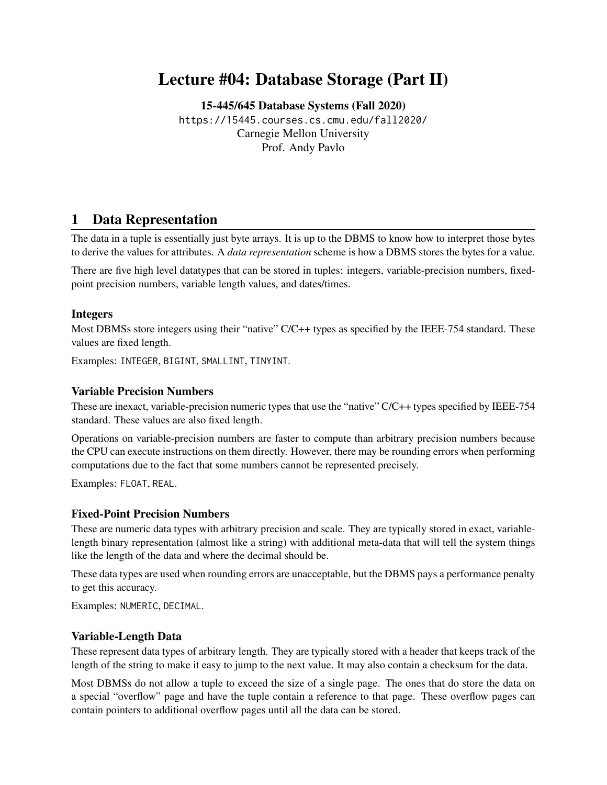# Lecture #04: Database Storage (Part II)

[15-445/645 Database Systems \(Fall 2020\)](https://15445.courses.cs.cmu.edu/fall2020/) <https://15445.courses.cs.cmu.edu/fall2020/> Carnegie Mellon University [Prof. Andy Pavlo](http://www.cs.cmu.edu/~pavlo/)

# 1 Data Representation

The data in a tuple is essentially just byte arrays. It is up to the DBMS to know how to interpret those bytes to derive the values for attributes. A *data representation* scheme is how a DBMS stores the bytes for a value.

There are five high level datatypes that can be stored in tuples: integers, variable-precision numbers, fixedpoint precision numbers, variable length values, and dates/times.

### Integers

Most DBMSs store integers using their "native" C/C++ types as specified by the IEEE-754 standard. These values are fixed length.

Examples: INTEGER, BIGINT, SMALLINT, TINYINT.

#### Variable Precision Numbers

These are inexact, variable-precision numeric types that use the "native" C/C++ types specified by IEEE-754 standard. These values are also fixed length.

Operations on variable-precision numbers are faster to compute than arbitrary precision numbers because the CPU can execute instructions on them directly. However, there may be rounding errors when performing computations due to the fact that some numbers cannot be represented precisely.

Examples: FLOAT, REAL.

#### Fixed-Point Precision Numbers

These are numeric data types with arbitrary precision and scale. They are typically stored in exact, variablelength binary representation (almost like a string) with additional meta-data that will tell the system things like the length of the data and where the decimal should be.

These data types are used when rounding errors are unacceptable, but the DBMS pays a performance penalty to get this accuracy.

Examples: NUMERIC, DECIMAL.

# Variable-Length Data

These represent data types of arbitrary length. They are typically stored with a header that keeps track of the length of the string to make it easy to jump to the next value. It may also contain a checksum for the data.

Most DBMSs do not allow a tuple to exceed the size of a single page. The ones that do store the data on a special "overflow" page and have the tuple contain a reference to that page. These overflow pages can contain pointers to additional overflow pages until all the data can be stored.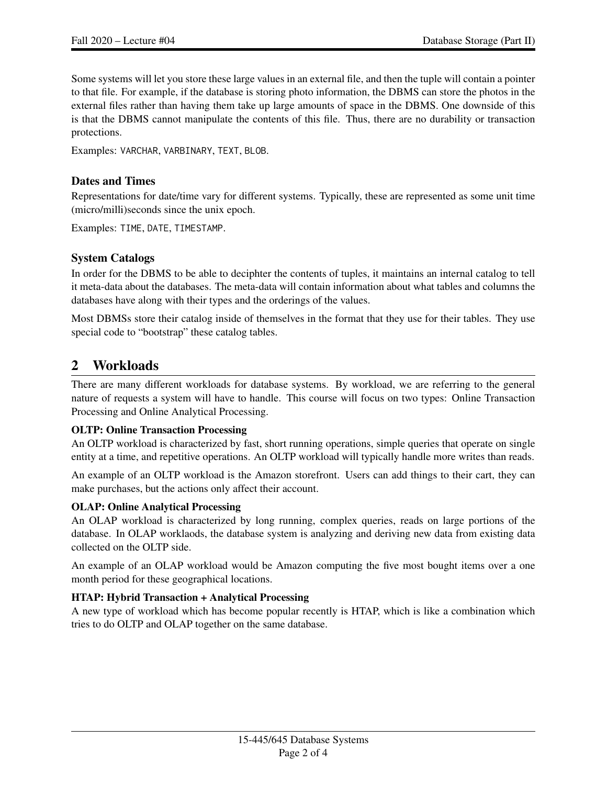Some systems will let you store these large values in an external file, and then the tuple will contain a pointer to that file. For example, if the database is storing photo information, the DBMS can store the photos in the external files rather than having them take up large amounts of space in the DBMS. One downside of this is that the DBMS cannot manipulate the contents of this file. Thus, there are no durability or transaction protections.

Examples: VARCHAR, VARBINARY, TEXT, BLOB.

## Dates and Times

Representations for date/time vary for different systems. Typically, these are represented as some unit time (micro/milli)seconds since the unix epoch.

Examples: TIME, DATE, TIMESTAMP.

# System Catalogs

In order for the DBMS to be able to deciphter the contents of tuples, it maintains an internal catalog to tell it meta-data about the databases. The meta-data will contain information about what tables and columns the databases have along with their types and the orderings of the values.

Most DBMSs store their catalog inside of themselves in the format that they use for their tables. They use special code to "bootstrap" these catalog tables.

# 2 Workloads

There are many different workloads for database systems. By workload, we are referring to the general nature of requests a system will have to handle. This course will focus on two types: Online Transaction Processing and Online Analytical Processing.

#### OLTP: Online Transaction Processing

An OLTP workload is characterized by fast, short running operations, simple queries that operate on single entity at a time, and repetitive operations. An OLTP workload will typically handle more writes than reads.

An example of an OLTP workload is the Amazon storefront. Users can add things to their cart, they can make purchases, but the actions only affect their account.

#### OLAP: Online Analytical Processing

An OLAP workload is characterized by long running, complex queries, reads on large portions of the database. In OLAP worklaods, the database system is analyzing and deriving new data from existing data collected on the OLTP side.

An example of an OLAP workload would be Amazon computing the five most bought items over a one month period for these geographical locations.

# HTAP: Hybrid Transaction + Analytical Processing

A new type of workload which has become popular recently is HTAP, which is like a combination which tries to do OLTP and OLAP together on the same database.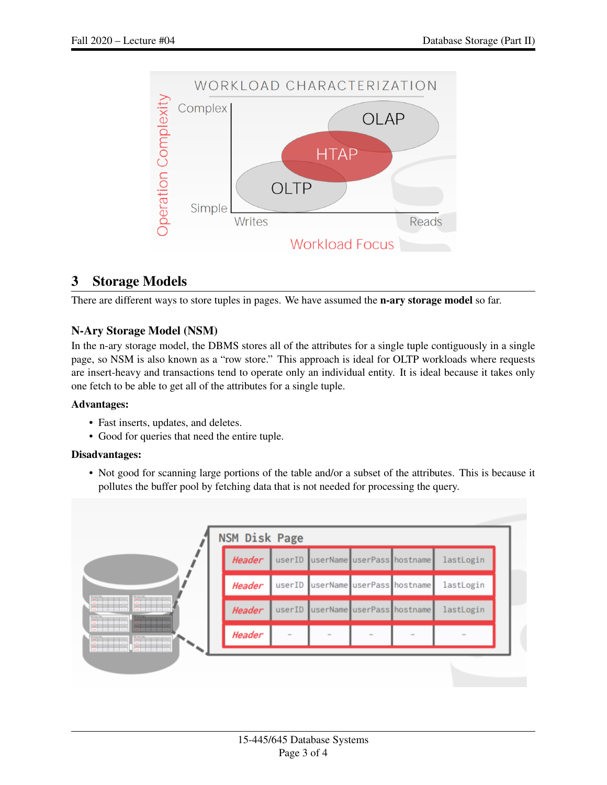

# 3 Storage Models

There are different ways to store tuples in pages. We have assumed the **n-ary storage model** so far.

# N-Ary Storage Model (NSM)

In the n-ary storage model, the DBMS stores all of the attributes for a single tuple contiguously in a single page, so NSM is also known as a "row store." This approach is ideal for OLTP workloads where requests are insert-heavy and transactions tend to operate only an individual entity. It is ideal because it takes only one fetch to be able to get all of the attributes for a single tuple.

# Advantages:

- Fast inserts, updates, and deletes.
- Good for queries that need the entire tuple.

# Disadvantages:

• Not good for scanning large portions of the table and/or a subset of the attributes. This is because it pollutes the buffer pool by fetching data that is not needed for processing the query.